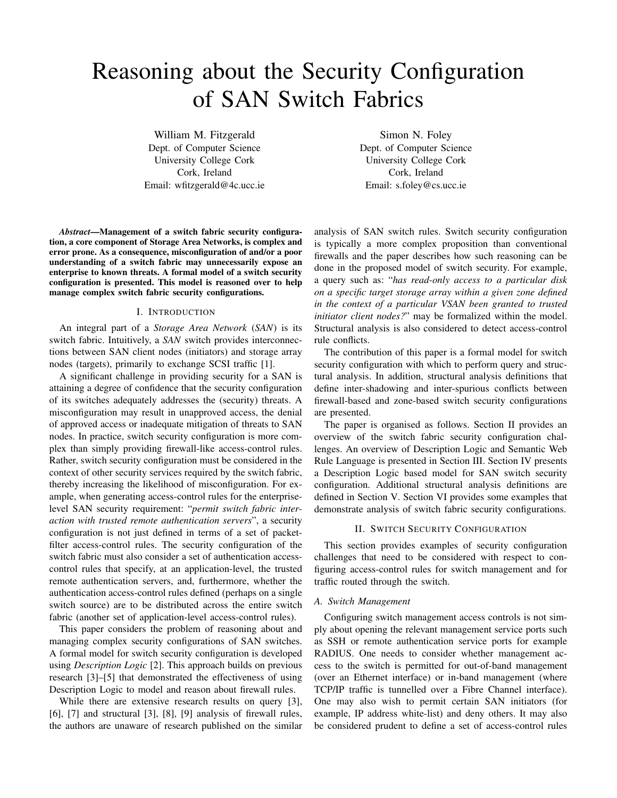# Reasoning about the Security Configuration of SAN Switch Fabrics

William M. Fitzgerald Dept. of Computer Science University College Cork Cork, Ireland Email: wfitzgerald@4c.ucc.ie

Simon N. Foley Dept. of Computer Science University College Cork Cork, Ireland Email: s.foley@cs.ucc.ie

*Abstract***—Management of a switch fabric security configuration, a core component of Storage Area Networks, is complex and error prone. As a consequence, misconfiguration of and/or a poor understanding of a switch fabric may unnecessarily expose an enterprise to known threats. A formal model of a switch security configuration is presented. This model is reasoned over to help manage complex switch fabric security configurations.**

# I. INTRODUCTION

An integral part of a *Storage Area Network* (*SAN*) is its switch fabric. Intuitively, a *SAN* switch provides interconnections between SAN client nodes (initiators) and storage array nodes (targets), primarily to exchange SCSI traffic [1].

A significant challenge in providing security for a SAN is attaining a degree of confidence that the security configuration of its switches adequately addresses the (security) threats. A misconfiguration may result in unapproved access, the denial of approved access or inadequate mitigation of threats to SAN nodes. In practice, switch security configuration is more complex than simply providing firewall-like access-control rules. Rather, switch security configuration must be considered in the context of other security services required by the switch fabric, thereby increasing the likelihood of misconfiguration. For example, when generating access-control rules for the enterpriselevel SAN security requirement: "*permit switch fabric interaction with trusted remote authentication servers*", a security configuration is not just defined in terms of a set of packetfilter access-control rules. The security configuration of the switch fabric must also consider a set of authentication accesscontrol rules that specify, at an application-level, the trusted remote authentication servers, and, furthermore, whether the authentication access-control rules defined (perhaps on a single switch source) are to be distributed across the entire switch fabric (another set of application-level access-control rules).

This paper considers the problem of reasoning about and managing complex security configurations of SAN switches. A formal model for switch security configuration is developed using *Description Logic* [2]. This approach builds on previous research [3]–[5] that demonstrated the effectiveness of using Description Logic to model and reason about firewall rules.

While there are extensive research results on query [3], [6], [7] and structural [3], [8], [9] analysis of firewall rules, the authors are unaware of research published on the similar analysis of SAN switch rules. Switch security configuration is typically a more complex proposition than conventional firewalls and the paper describes how such reasoning can be done in the proposed model of switch security. For example, a query such as: "*has read-only access to a particular disk on a specific target storage array within a given zone defined in the context of a particular VSAN been granted to trusted initiator client nodes?*" may be formalized within the model. Structural analysis is also considered to detect access-control rule conflicts.

The contribution of this paper is a formal model for switch security configuration with which to perform query and structural analysis. In addition, structural analysis definitions that define inter-shadowing and inter-spurious conflicts between firewall-based and zone-based switch security configurations are presented.

The paper is organised as follows. Section II provides an overview of the switch fabric security configuration challenges. An overview of Description Logic and Semantic Web Rule Language is presented in Section III. Section IV presents a Description Logic based model for SAN switch security configuration. Additional structural analysis definitions are defined in Section V. Section VI provides some examples that demonstrate analysis of switch fabric security configurations.

## II. SWITCH SECURITY CONFIGURATION

This section provides examples of security configuration challenges that need to be considered with respect to configuring access-control rules for switch management and for traffic routed through the switch.

#### *A. Switch Management*

Configuring switch management access controls is not simply about opening the relevant management service ports such as SSH or remote authentication service ports for example RADIUS. One needs to consider whether management access to the switch is permitted for out-of-band management (over an Ethernet interface) or in-band management (where TCP/IP traffic is tunnelled over a Fibre Channel interface). One may also wish to permit certain SAN initiators (for example, IP address white-list) and deny others. It may also be considered prudent to define a set of access-control rules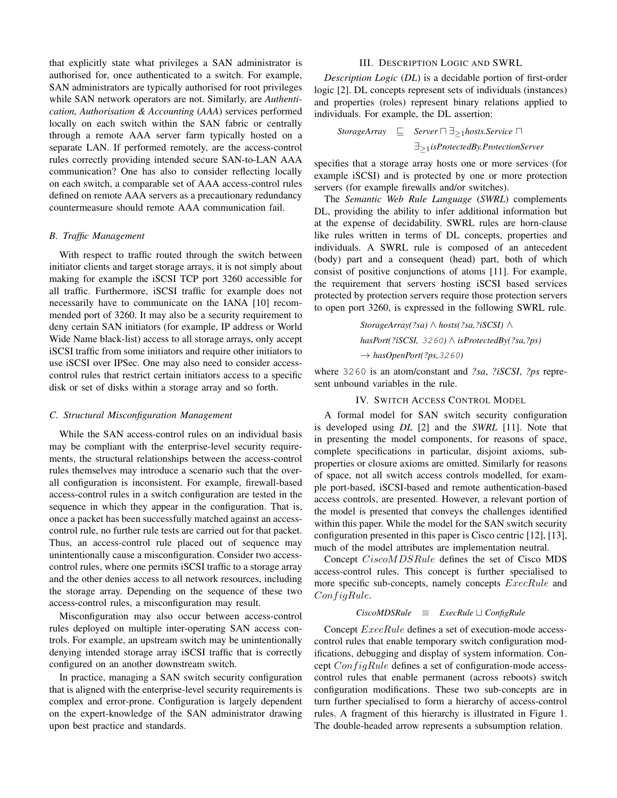that explicitly state what privileges a SAN administrator is authorised for, once authenticated to a switch. For example, SAN administrators are typically authorised for root privileges while SAN network operators are not. Similarly, are *Authentication, Authorisation & Accounting* (*AAA*) services performed locally on each switch within the SAN fabric or centrally through a remote AAA server farm typically hosted on a separate LAN. If performed remotely, are the access-control rules correctly providing intended secure SAN-to-LAN AAA communication? One has also to consider reflecting locally on each switch, a comparable set of AAA access-control rules defined on remote AAA servers as a precautionary redundancy countermeasure should remote AAA communication fail.

#### *B. Traffic Management*

With respect to traffic routed through the switch between initiator clients and target storage arrays, it is not simply about making for example the iSCSI TCP port 3260 accessible for all traffic. Furthermore, iSCSI traffic for example does not necessarily have to communicate on the IANA [10] recommended port of 3260. It may also be a security requirement to deny certain SAN initiators (for example, IP address or World Wide Name black-list) access to all storage arrays, only accept iSCSI traffic from some initiators and require other initiators to use iSCSI over IPSec. One may also need to consider accesscontrol rules that restrict certain initiators access to a specific disk or set of disks within a storage array and so forth.

## *C. Structural Misconfiguration Management*

While the SAN access-control rules on an individual basis may be compliant with the enterprise-level security requirements, the structural relationships between the access-control rules themselves may introduce a scenario such that the overall configuration is inconsistent. For example, firewall-based access-control rules in a switch configuration are tested in the sequence in which they appear in the configuration. That is, once a packet has been successfully matched against an accesscontrol rule, no further rule tests are carried out for that packet. Thus, an access-control rule placed out of sequence may unintentionally cause a misconfiguration. Consider two accesscontrol rules, where one permits iSCSI traffic to a storage array and the other denies access to all network resources, including the storage array. Depending on the sequence of these two access-control rules, a misconfiguration may result.

Misconfiguration may also occur between access-control rules deployed on multiple inter-operating SAN access controls. For example, an upstream switch may be unintentionally denying intended storage array iSCSI traffic that is correctly configured on an another downstream switch.

In practice, managing a SAN switch security configuration that is aligned with the enterprise-level security requirements is complex and error-prone. Configuration is largely dependent on the expert-knowledge of the SAN administrator drawing upon best practice and standards.

#### III. DESCRIPTION LOGIC AND SWRL

*Description Logic* (*DL*) is a decidable portion of first-order logic [2]. DL concepts represent sets of individuals (instances) and properties (roles) represent binary relations applied to individuals. For example, the DL assertion:

*StorageArray* 
$$
\subseteq
$$
 *Server*  $\Box_{\geq 1}$  *hosts.Service*  $\Box$   
 $\exists_{\geq 1}$  *isProtectedBy. ProtectionServer*

specifies that a storage array hosts one or more services (for example iSCSI) and is protected by one or more protection servers (for example firewalls and/or switches).

The *Semantic Web Rule Language* (*SWRL*) complements DL, providing the ability to infer additional information but at the expense of decidability. SWRL rules are horn-clause like rules written in terms of DL concepts, properties and individuals. A SWRL rule is composed of an antecedent (body) part and a consequent (head) part, both of which consist of positive conjunctions of atoms [11]. For example, the requirement that servers hosting iSCSI based services protected by protection servers require those protection servers to open port 3260, is expressed in the following SWRL rule.

> *StorageArray(?sa)* ∧ *hosts(?sa,?iSCSI)* ∧ *hasPort(?iSCSI,* 3260*)* ∧ *isProtectedBy(?sa,?ps)* → *hasOpenPort(?ps,*3260*)*

where 3260 is an atom/constant and *?sa*, *?iSCSI*, *?ps* represent unbound variables in the rule.

## IV. SWITCH ACCESS CONTROL MODEL

A formal model for SAN switch security configuration is developed using *DL* [2] and the *SWRL* [11]. Note that in presenting the model components, for reasons of space, complete specifications in particular, disjoint axioms, subproperties or closure axioms are omitted. Similarly for reasons of space, not all switch access controls modelled, for example port-based, iSCSI-based and remote authentication-based access controls, are presented. However, a relevant portion of the model is presented that conveys the challenges identified within this paper. While the model for the SAN switch security configuration presented in this paper is Cisco centric [12], [13], much of the model attributes are implementation neutral.

Concept CiscoMDSRule defines the set of Cisco MDS access-control rules. This concept is further specialised to more specific sub-concepts, namely concepts ExecRule and Conf igRule.

# *CiscoMDSRule* ≡ *ExecRule* ⊔ *ConfigRule*

Concept ExecRule defines a set of execution-mode accesscontrol rules that enable temporary switch configuration modifications, debugging and display of system information. Concept  $ConfigRule$  defines a set of configuration-mode accesscontrol rules that enable permanent (across reboots) switch configuration modifications. These two sub-concepts are in turn further specialised to form a hierarchy of access-control rules. A fragment of this hierarchy is illustrated in Figure 1. The double-headed arrow represents a subsumption relation.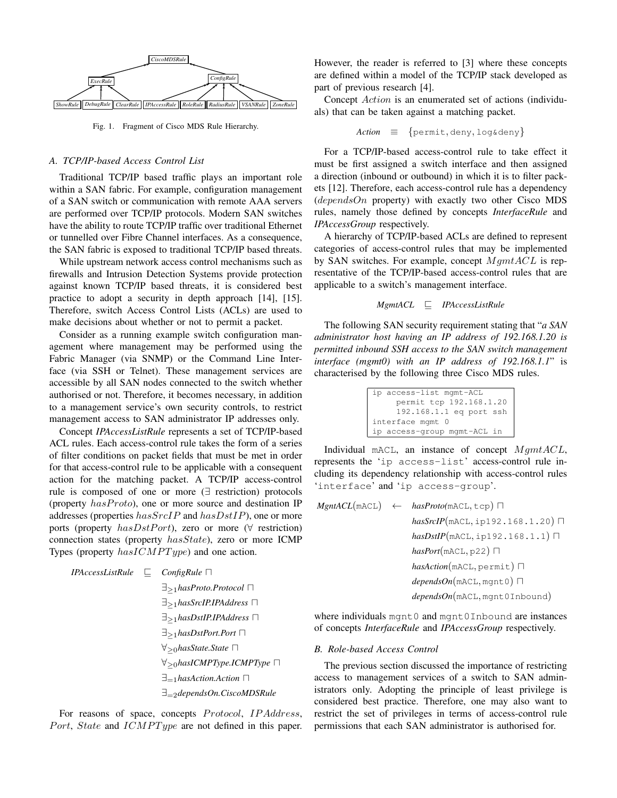

Fig. 1. Fragment of Cisco MDS Rule Hierarchy.

# *A. TCP/IP-based Access Control List*

Traditional TCP/IP based traffic plays an important role within a SAN fabric. For example, configuration management of a SAN switch or communication with remote AAA servers are performed over TCP/IP protocols. Modern SAN switches have the ability to route TCP/IP traffic over traditional Ethernet or tunnelled over Fibre Channel interfaces. As a consequence, the SAN fabric is exposed to traditional TCP/IP based threats.

While upstream network access control mechanisms such as firewalls and Intrusion Detection Systems provide protection against known TCP/IP based threats, it is considered best practice to adopt a security in depth approach [14], [15]. Therefore, switch Access Control Lists (ACLs) are used to make decisions about whether or not to permit a packet.

Consider as a running example switch configuration management where management may be performed using the Fabric Manager (via SNMP) or the Command Line Interface (via SSH or Telnet). These management services are accessible by all SAN nodes connected to the switch whether authorised or not. Therefore, it becomes necessary, in addition to a management service's own security controls, to restrict management access to SAN administrator IP addresses only.

Concept *IPAccessListRule* represents a set of TCP/IP-based ACL rules. Each access-control rule takes the form of a series of filter conditions on packet fields that must be met in order for that access-control rule to be applicable with a consequent action for the matching packet. A TCP/IP access-control rule is composed of one or more (∃ restriction) protocols (property  $has Proto$ ), one or more source and destination IP addresses (properties  $hasSrcIP$  and  $hasDstIP$ ), one or more ports (property  $hasDstPort$ ), zero or more ( $\forall$  restriction) connection states (property hasState), zero or more ICMP Types (property  $hasICMPT ype$ ) and one action.

$$
IPAccessListRule \quad \sqsubseteq \quad ConfigRule \quad \sqcap
$$
\n
$$
\exists_{\geq 1} has Proto. Protocol \quad \sqcap
$$
\n
$$
\exists_{\geq 1} hasSrcIP. IPAddress \quad \sqcap
$$
\n
$$
\exists_{\geq 1} hasDstIP. IPAddress \quad \sqcap
$$
\n
$$
\exists_{\geq 1} hasDstPort. Port \quad \sqcap
$$
\n
$$
\forall_{\geq 0} hasState. State \quad \sqcap
$$
\n
$$
\forall_{\geq 0} hasICMPType. ICMPType \quad \sqcap
$$
\n
$$
\exists_{=1} hasAction. Action \quad \sqcap
$$
\n
$$
\exists_{=2} depends On. CiscoMDSRule
$$

For reasons of space, concepts Protocol, IP Address, Port, State and ICMPT ype are not defined in this paper. However, the reader is referred to [3] where these concepts are defined within a model of the TCP/IP stack developed as part of previous research [4].

Concept Action is an enumerated set of actions (individuals) that can be taken against a matching packet.

$$
Action \equiv \{permit, deny, log\&deny\}
$$

For a TCP/IP-based access-control rule to take effect it must be first assigned a switch interface and then assigned a direction (inbound or outbound) in which it is to filter packets [12]. Therefore, each access-control rule has a dependency (dependsOn property) with exactly two other Cisco MDS rules, namely those defined by concepts *InterfaceRule* and *IPAccessGroup* respectively.

A hierarchy of TCP/IP-based ACLs are defined to represent categories of access-control rules that may be implemented by SAN switches. For example, concept  $MgmtACL$  is representative of the TCP/IP-based access-control rules that are applicable to a switch's management interface.

$$
MgmtACL \quad \sqsubseteq \quad IPAccessListRule
$$

The following SAN security requirement stating that "*a SAN administrator host having an IP address of 192.168.1.20 is permitted inbound SSH access to the SAN switch management interface (mgmt0) with an IP address of 192.168.1.1*" is characterised by the following three Cisco MDS rules.

| ip access-list mgmt-ACL     |
|-----------------------------|
| permit tcp 192.168.1.20     |
| 192.168.1.1 eq port ssh     |
| interface mgmt 0            |
| ip access-group mgmt-ACL in |

Individual mACL, an instance of concept MgmtACL, represents the 'ip access-list' access-control rule including its dependency relationship with access-control rules 'interface' and 'ip access-group'.

$$
MgntACL(mACL) \leftarrow \text{hasProtocol}(mACL, \text{top}) \sqcap
$$
\n
$$
\text{hasSrcIP}(mACL, \text{ip192.168.1.20}) \sqcap
$$
\n
$$
\text{hasDstIP}(mACL, \text{ip192.168.1.1}) \sqcap
$$
\n
$$
\text{hasPort}(mACL, \text{p22}) \sqcap
$$
\n
$$
\text{hasAction}(mACL, \text{permit}) \sqcap
$$
\n
$$
\text{dependsOn}(mACL, \text{mgrt0}) \sqcap
$$
\n
$$
\text{dependsOn}(mACL, \text{mgrt0} \sqcap \text{showund})
$$

where individuals mgnt0 and mgnt0Inbound are instances of concepts *InterfaceRule* and *IPAccessGroup* respectively.

#### *B. Role-based Access Control*

The previous section discussed the importance of restricting access to management services of a switch to SAN administrators only. Adopting the principle of least privilege is considered best practice. Therefore, one may also want to restrict the set of privileges in terms of access-control rule permissions that each SAN administrator is authorised for.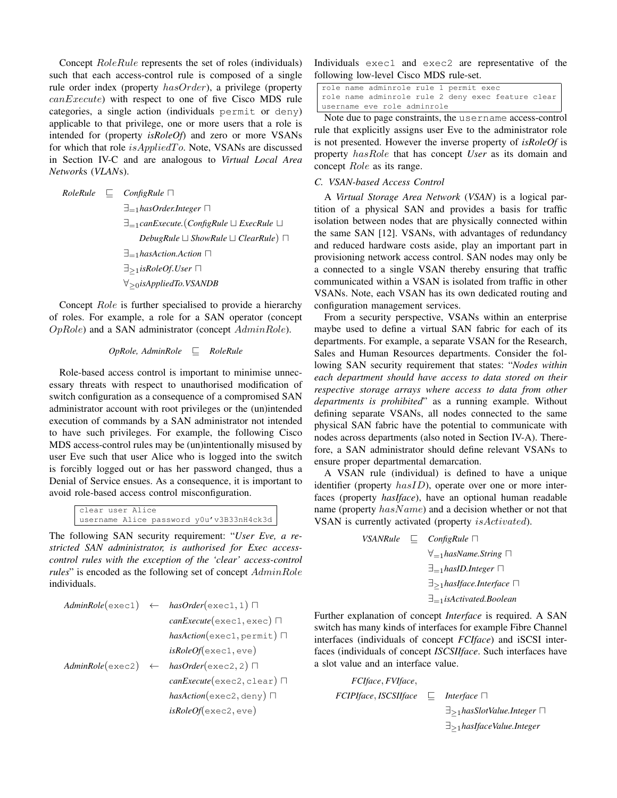Concept *RoleRule* represents the set of roles (individuals) such that each access-control rule is composed of a single rule order index (property  $hasOrder$ ), a privilege (property canExecute) with respect to one of five Cisco MDS rule categories, a single action (individuals permit or deny) applicable to that privilege, one or more users that a role is intended for (property *isRoleOf*) and zero or more VSANs for which that role  $isApplied To$ . Note, VSANs are discussed in Section IV-C and are analogous to *Virtual Local Area Network*s (*VLAN*s).

*RoleRule* ⊑ *ConfigRule* ⊓ ∃=1*hasOrder.Integer* ⊓ ∃=1*canExecute.*(*ConfigRule* ⊔ *ExecRule* ⊔ *DebugRule* ⊔ *ShowRule* ⊔ *ClearRule*) ⊓ ∃=1*hasAction.Action* ⊓ ∃≥1*isRoleOf*.*User* ⊓ ∀≥0*isAppliedTo.VSANDB*

Concept Role is further specialised to provide a hierarchy of roles. For example, a role for a SAN operator (concept  $OpRole$ ) and a SAN administrator (concept  $AdminRole$ ).

# *OpRole, AdminRole* ⊑ *RoleRule*

Role-based access control is important to minimise unnecessary threats with respect to unauthorised modification of switch configuration as a consequence of a compromised SAN administrator account with root privileges or the (un)intended execution of commands by a SAN administrator not intended to have such privileges. For example, the following Cisco MDS access-control rules may be (un)intentionally misused by user Eve such that user Alice who is logged into the switch is forcibly logged out or has her password changed, thus a Denial of Service ensues. As a consequence, it is important to avoid role-based access control misconfiguration.

> clear user Alice username Alice password y0u'v3B33nH4ck3d

The following SAN security requirement: "*User Eve, a restricted SAN administrator, is authorised for Exec accesscontrol rules with the exception of the 'clear' access-control rules*" is encoded as the following set of concept AdminRole individuals.

*AdminRole*(exec1) ← *hasOrder*(exec1, 1) ⊓ *canExecute*(exec1, exec) ⊓ *hasAction*(exec1, permit) ⊓ *isRoleOf*(exec1, eve) *AdminRole*(exec2) ← *hasOrder*(exec2, 2) ⊓ *canExecute*(exec2, clear) ⊓ *hasAction*(exec2, deny) ⊓ *isRoleOf*(exec2, eve)

Individuals exec1 and exec2 are representative of the following low-level Cisco MDS rule-set.

| role name adminrole rule 1 permit exec             |  |  |  |
|----------------------------------------------------|--|--|--|
| role name adminrole rule 2 deny exec feature clear |  |  |  |
| username eve role adminrole                        |  |  |  |

Note due to page constraints, the username access-control rule that explicitly assigns user Eve to the administrator role is not presented. However the inverse property of *isRoleOf* is property hasRole that has concept *User* as its domain and concept Role as its range.

# *C. VSAN-based Access Control*

A *Virtual Storage Area Network* (*VSAN*) is a logical partition of a physical SAN and provides a basis for traffic isolation between nodes that are physically connected within the same SAN [12]. VSANs, with advantages of redundancy and reduced hardware costs aside, play an important part in provisioning network access control. SAN nodes may only be a connected to a single VSAN thereby ensuring that traffic communicated within a VSAN is isolated from traffic in other VSANs. Note, each VSAN has its own dedicated routing and configuration management services.

From a security perspective, VSANs within an enterprise maybe used to define a virtual SAN fabric for each of its departments. For example, a separate VSAN for the Research, Sales and Human Resources departments. Consider the following SAN security requirement that states: "*Nodes within each department should have access to data stored on their respective storage arrays where access to data from other departments is prohibited*" as a running example. Without defining separate VSANs, all nodes connected to the same physical SAN fabric have the potential to communicate with nodes across departments (also noted in Section IV-A). Therefore, a SAN administrator should define relevant VSANs to ensure proper departmental demarcation.

A VSAN rule (individual) is defined to have a unique identifier (property  $hasID$ ), operate over one or more interfaces (property *hasIface*), have an optional human readable name (property  $hasName$ ) and a decision whether or not that VSAN is currently activated (property isActivated).

> *VSANRule* ⊑ *ConfigRule* ⊓ ∀=1*hasName.String* ⊓ ∃=1*hasID.Integer* ⊓ ∃≥1*hasIface.Interface* ⊓ ∃=1*isActivated.Boolean*

Further explanation of concept *Interface* is required. A SAN switch has many kinds of interfaces for example Fibre Channel interfaces (individuals of concept *FCIface*) and iSCSI interfaces (individuals of concept *ISCSIIface*. Such interfaces have a slot value and an interface value.

*FCIface*, *FVIface*, *FCIPIface*, *ISCSIIface* ⊑ *Interface* ⊓ ∃≥1*hasSlotValue.Integer* ⊓ ∃≥1*hasIfaceValue.Integer*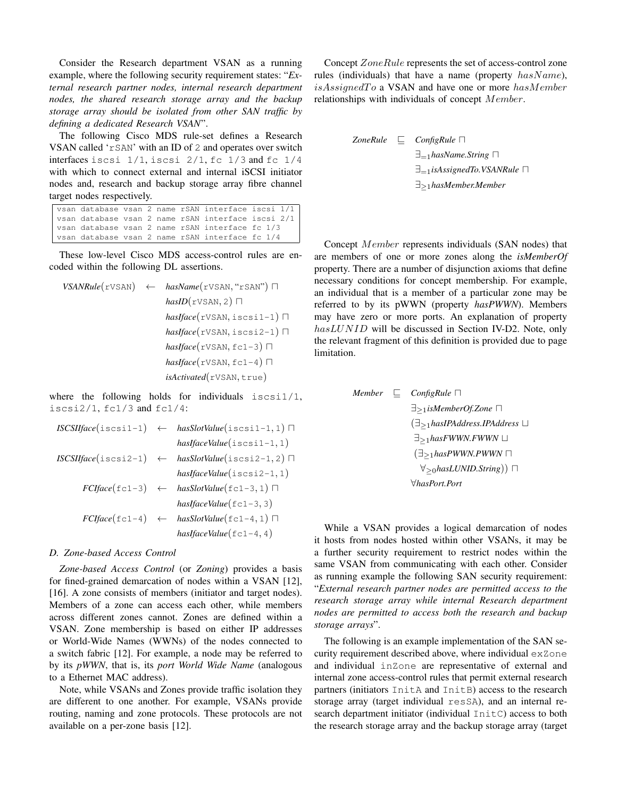Consider the Research department VSAN as a running example, where the following security requirement states: "*External research partner nodes, internal research department nodes, the shared research storage array and the backup storage array should be isolated from other SAN traffic by defining a dedicated Research VSAN*".

The following Cisco MDS rule-set defines a Research VSAN called 'rSAN' with an ID of 2 and operates over switch interfaces iscsi  $1/1$ , iscsi  $2/1$ , fc  $1/3$  and fc  $1/4$ with which to connect external and internal iSCSI initiator nodes and, research and backup storage array fibre channel target nodes respectively.

|  |  |  |                                                 | vsan database vsan 2 name rSAN interface iscsi 1/1 |
|--|--|--|-------------------------------------------------|----------------------------------------------------|
|  |  |  |                                                 | vsan database vsan 2 name rSAN interface iscsi 2/1 |
|  |  |  | vsan database vsan 2 name rSAN interface fc 1/3 |                                                    |
|  |  |  | vsan database vsan 2 name rSAN interface fc 1/4 |                                                    |

These low-level Cisco MDS access-control rules are encoded within the following DL assertions.

$$
VSANRule(\text{rVSAN}) \leftarrow \text{hasName}(\text{rVSAN}, \text{"rSAN"}) \sqcap
$$
\n
$$
\text{hasID}(\text{rVSAN}, 2) \sqcap
$$
\n
$$
\text{hasIface}(\text{rVSAN}, \text{iscsi1-1}) \sqcap
$$
\n
$$
\text{hasIface}(\text{rVSAN}, \text{iscsi2-1}) \sqcap
$$
\n
$$
\text{hasIface}(\text{rVSAN}, \text{fc1-3}) \sqcap
$$
\n
$$
\text{hasIface}(\text{rVSAN}, \text{fc1-4}) \sqcap
$$
\n
$$
\text{isActivated}(\text{rVSAN}, \text{true})
$$

where the following holds for individuals  $i$  scsi1/1, iscsi2/1, fc1/3 and fc1/4:

|  | $\textit{ISCSIIface}(i\texttt{sssil-1}) \leftarrow \textit{hasSlotValue}(i\texttt{sssil-1},1) \sqcap$ |
|--|-------------------------------------------------------------------------------------------------------|
|  | $has \textit{HaceValue}(iscsi1-1,1)$                                                                  |
|  | $\textit{ISCSIIf} ace(\text{iscsi2-1}) \leftarrow \textit{hasSlotValue} (\text{iscsi2-1}, 2) \sqcap$  |
|  | $has \textit{HaceValue}(iscsi2-1, 1)$                                                                 |
|  | $FCIface(fc1-3) \leftarrow \text{hasSlotValue}(fc1-3,1) \sqcap$                                       |
|  | $has \textit{HaceValue}(f \texttt{cl}-3, 3)$                                                          |
|  | $FCIf ace(fc1-4) \leftarrow hasSlotValue(fc1-4, 1) \sqcap$                                            |
|  | $has \textit{HaceValue}(f \texttt{cl-4}, 4)$                                                          |

## *D. Zone-based Access Control*

*Zone-based Access Control* (or *Zoning*) provides a basis for fined-grained demarcation of nodes within a VSAN [12], [16]. A zone consists of members (initiator and target nodes). Members of a zone can access each other, while members across different zones cannot. Zones are defined within a VSAN. Zone membership is based on either IP addresses or World-Wide Names (WWNs) of the nodes connected to a switch fabric [12]. For example, a node may be referred to by its *pWWN*, that is, its *port World Wide Name* (analogous to a Ethernet MAC address).

Note, while VSANs and Zones provide traffic isolation they are different to one another. For example, VSANs provide routing, naming and zone protocols. These protocols are not available on a per-zone basis [12].

Concept ZoneRule represents the set of access-control zone rules (individuals) that have a name (property  $hasName$ ),  $isAssociated To$  a VSAN and have one or more  $hasMember$ relationships with individuals of concept Member.

ZoneRule 
$$
\sqsubseteq
$$
 *ConfigRule*  $\sqcap$ 

\n $\exists_{=1}$  hasName. String  $\sqcap$ 

\n $\exists_{=1}$  is *AssignedTo. VSANRule*  $\sqcap$ 

\n $\exists_{\geq 1}$  has *Member. Member*

Concept Member represents individuals (SAN nodes) that are members of one or more zones along the *isMemberOf* property. There are a number of disjunction axioms that define necessary conditions for concept membership. For example, an individual that is a member of a particular zone may be referred to by its pWWN (property *hasPWWN*). Members may have zero or more ports. An explanation of property hasLUNID will be discussed in Section IV-D2. Note, only the relevant fragment of this definition is provided due to page limitation.

> *Member* ⊑ *ConfigRule* ⊓ ∃≥1*isMemberOf.Zone* ⊓ (∃≥1*hasIPAddress.IPAddress* ⊔ ∃≥1*hasFWWN.FWWN* ⊔ (∃≥1*hasPWWN.PWWN* ⊓ ∀≥0*hasLUNID.String*)) ⊓ ∀*hasPort.Port*

While a VSAN provides a logical demarcation of nodes it hosts from nodes hosted within other VSANs, it may be a further security requirement to restrict nodes within the same VSAN from communicating with each other. Consider as running example the following SAN security requirement: "*External research partner nodes are permitted access to the research storage array while internal Research department nodes are permitted to access both the research and backup storage arrays*".

The following is an example implementation of the SAN security requirement described above, where individual exZone and individual inZone are representative of external and internal zone access-control rules that permit external research partners (initiators InitA and InitB) access to the research storage array (target individual resSA), and an internal research department initiator (individual InitC) access to both the research storage array and the backup storage array (target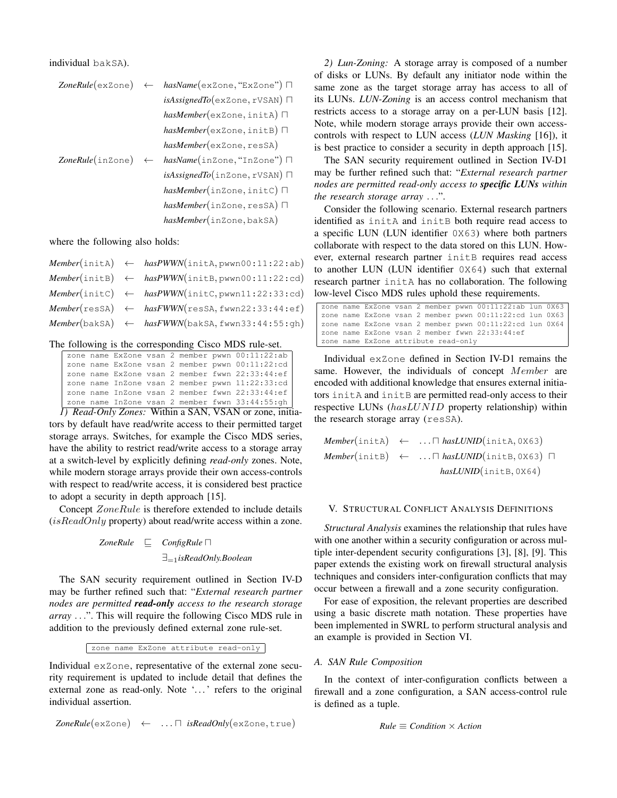individual bakSA).

$$
ZoneRule(exzone) \leftarrow \text{hasName(exzone, "Exzone")} \sqcap
$$
\n
$$
isAssigned To(exzone, rVSAN) \sqcap
$$
\n
$$
hasMember(exzone, initA) \sqcap
$$
\n
$$
hasMember(exzone, initB) \sqcap
$$
\n
$$
hasMember(exzone, resSA)
$$
\n
$$
ZoneRule(inzone) \leftarrow \text{hasName(inzone, rVSAN)} \sqcap
$$
\n
$$
isAssignedTo(inzone, rVSAN) \sqcap
$$
\n
$$
hasMember(inzone, rVSAN) \sqcap
$$
\n
$$
hasMember(inzone, resSA) \sqcap
$$
\n
$$
hasMember(inzone, baksA)
$$

where the following also holds:

|  | $Member(intA) \leftarrow hasPWM (initA, pwm00:11:22:ab)$                               |
|--|----------------------------------------------------------------------------------------|
|  | $Member(intB) \leftarrow hasPWM(initeB, pwm00:11:22:cd)$                               |
|  | $Member(intc) \leftarrow hasPWM(intc, pwm11:22:33:cd)$                                 |
|  | $Member(resSA) \leftarrow hasFWWN(resSA, fwmn22:33:44:ef)$                             |
|  | $Member(\text{baksA}) \leftarrow \text{has} FWWW(\text{baksA}, \text{fwm33:44:55:gh})$ |

# The following is the corresponding Cisco MDS rule-set.

|  |  |  | $\mathbf{A} \times \mathbf{B}$ and $\mathbf{A} \times \mathbf{B}$ and $\mathbf{A} \times \mathbf{B}$ and $\mathbf{A} \times \mathbf{B}$ and $\mathbf{A} \times \mathbf{B}$ and $\mathbf{A} \times \mathbf{B}$ and $\mathbf{A} \times \mathbf{B}$ and $\mathbf{A} \times \mathbf{B}$ and $\mathbf{A} \times \mathbf{B}$ and $\mathbf{A} \times \mathbf{B}$ and $\mathbf{A} \times \math$ |
|--|--|--|-----------------------------------------------------------------------------------------------------------------------------------------------------------------------------------------------------------------------------------------------------------------------------------------------------------------------------------------------------------------------------------------|
|  |  |  | zone name InZone vsan 2 member fwwn 33:44:55:gh                                                                                                                                                                                                                                                                                                                                         |
|  |  |  | zone name InZone vsan 2 member fwwn 22:33:44:ef                                                                                                                                                                                                                                                                                                                                         |
|  |  |  | zone name InZone vsan 2 member pwwn 11:22:33:cd                                                                                                                                                                                                                                                                                                                                         |
|  |  |  | zone name ExZone vsan 2 member fwwn 22:33:44:ef                                                                                                                                                                                                                                                                                                                                         |
|  |  |  | zone name ExZone vsan 2 member pwwn 00:11:22:cd                                                                                                                                                                                                                                                                                                                                         |
|  |  |  | zone name ExZone vsan 2 member pwwn 00:11:22:ab                                                                                                                                                                                                                                                                                                                                         |

*1) Read-Only Zones:* Within a SAN, VSAN or zone, initiators by default have read/write access to their permitted target storage arrays. Switches, for example the Cisco MDS series, have the ability to restrict read/write access to a storage array at a switch-level by explicitly defining *read-only* zones. Note, while modern storage arrays provide their own access-controls with respect to read/write access, it is considered best practice to adopt a security in depth approach [15].

Concept ZoneRule is therefore extended to include details  $(isReadOnly$  property) about read/write access within a zone.

> *ZoneRule* ⊑ *ConfigRule* ⊓ ∃=1*isReadOnly.Boolean*

The SAN security requirement outlined in Section IV-D may be further refined such that: "*External research partner nodes are permitted read-only access to the research storage array* . . .". This will require the following Cisco MDS rule in addition to the previously defined external zone rule-set.

```
zone name ExZone attribute read-only
```
Individual exZone, representative of the external zone security requirement is updated to include detail that defines the external zone as read-only. Note '...' refers to the original individual assertion.

*ZoneRule*(exZone) ← . . . ⊓ *isReadOnly*(exZone, true)

*2) Lun-Zoning:* A storage array is composed of a number of disks or LUNs. By default any initiator node within the same zone as the target storage array has access to all of its LUNs. *LUN-Zoning* is an access control mechanism that restricts access to a storage array on a per-LUN basis [12]. Note, while modern storage arrays provide their own accesscontrols with respect to LUN access (*LUN Masking* [16]), it is best practice to consider a security in depth approach [15].

The SAN security requirement outlined in Section IV-D1 may be further refined such that: "*External research partner nodes are permitted read-only access to specific LUNs within the research storage array* . . .".

Consider the following scenario. External research partners identified as initA and initB both require read access to a specific LUN (LUN identifier 0X63) where both partners collaborate with respect to the data stored on this LUN. However, external research partner initB requires read access to another LUN (LUN identifier 0X64) such that external research partner initA has no collaboration. The following low-level Cisco MDS rules uphold these requirements.

|  |                                      |  |  |  | zone name ExZone vsan 2 member pwwn 00:11:22:ab lun 0X63 |  |  |
|--|--------------------------------------|--|--|--|----------------------------------------------------------|--|--|
|  |                                      |  |  |  | zone name ExZone vsan 2 member pwwn 00:11:22:cd lun 0X63 |  |  |
|  |                                      |  |  |  | zone name ExZone vsan 2 member pwwn 00:11:22:cd lun 0X64 |  |  |
|  |                                      |  |  |  | zone name ExZone vsan 2 member fwwn 22:33:44:ef          |  |  |
|  | zone name ExZone attribute read-only |  |  |  |                                                          |  |  |

Individual exZone defined in Section IV-D1 remains the same. However, the individuals of concept Member are encoded with additional knowledge that ensures external initiators initA and initB are permitted read-only access to their respective LUNs (hasLUNID property relationship) within the research storage array (resSA).

*Member*(initA) ← . . . ⊓ *hasLUNID*(initA, 0X63) *Member*(initB) ← . . . ⊓ *hasLUNID*(initB, 0X63) ⊓ *hasLUNID*(initB, 0X64)

# V. STRUCTURAL CONFLICT ANALYSIS DEFINITIONS

*Structural Analysis* examines the relationship that rules have with one another within a security configuration or across multiple inter-dependent security configurations [3], [8], [9]. This paper extends the existing work on firewall structural analysis techniques and considers inter-configuration conflicts that may occur between a firewall and a zone security configuration.

For ease of exposition, the relevant properties are described using a basic discrete math notation. These properties have been implemented in SWRL to perform structural analysis and an example is provided in Section VI.

#### *A. SAN Rule Composition*

In the context of inter-configuration conflicts between a firewall and a zone configuration, a SAN access-control rule is defined as a tuple.

$$
Rule \equiv Condition \times Action
$$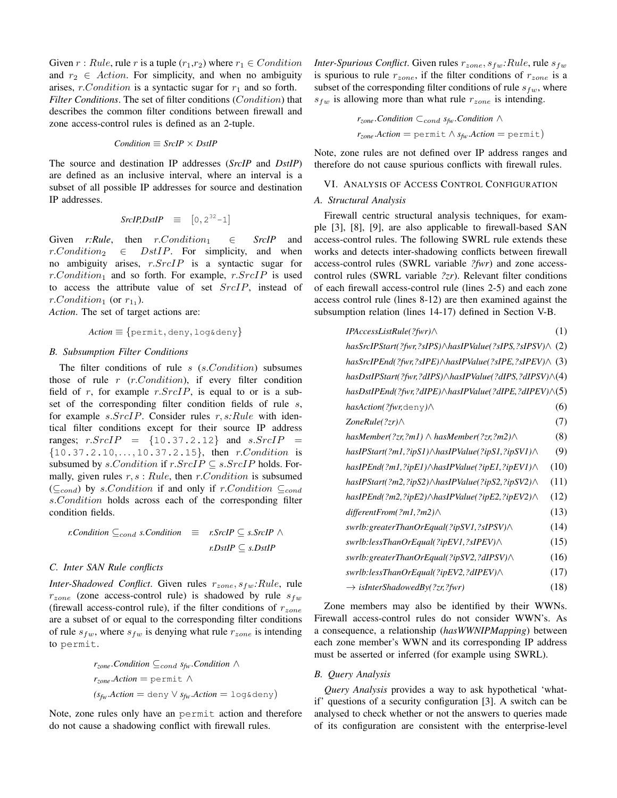Given  $r : Rule$ , rule r is a tuple  $(r_1,r_2)$  where  $r_1 \in Condition$ and  $r_2 \in Action$ . For simplicity, and when no ambiguity arises, r.Condition is a syntactic sugar for  $r_1$  and so forth. *Filter Conditions*. The set of filter conditions (Condition) that describes the common filter conditions between firewall and zone access-control rules is defined as an 2-tuple.

$$
Condition \equiv SrcIP \times DstIP
$$

The source and destination IP addresses (*SrcIP* and *DstIP*) are defined as an inclusive interval, where an interval is a subset of all possible IP addresses for source and destination IP addresses.

$$
\text{SrcIP}, \text{DstIP} \equiv [0, 2^{32} - 1]
$$

Given *r:Rule*, then *r.Condition*<sub>1</sub>  $\in$  *SrcIP* and  $r. Condition_2 \in DstIP$ . For simplicity, and when no ambiguity arises, r.SrcIP is a syntactic sugar for  $r. Condition_1$  and so forth. For example,  $r. SrcIP$  is used to access the attribute value of set SrcIP, instead of r.Condition<sub>1</sub> (or  $r_{1_1}$ ).

*Action*. The set of target actions are:

Action 
$$
\equiv
$$
 {permit, deny, log<sub>&</sub>deny}

## *B. Subsumption Filter Conditions*

The filter conditions of rule  $s$  (s. Condition) subsumes those of rule  $r$  (*r.Condition*), if every filter condition field of  $r$ , for example  $r.SrcIP$ , is equal to or is a subset of the corresponding filter condition fields of rule s, for example s.SrcIP. Consider rules r, s*:*Rule with identical filter conditions except for their source IP address ranges;  $r.SrcIP = \{10.37.2.12\}$  and  $s.SrcIP =$  ${10.37.2.10,..., 10.37.2.15}$ , then r.Condition is subsumed by s.Condition if  $r.SrcIP \subseteq s.SrcIP$  holds. Formally, given rules  $r, s : Rule$ , then  $r. Condition$  is subsumed  $(\subseteq_{cond})$  by s.Condition if and only if r.Condition  $\subseteq_{cond}$ s.Condition holds across each of the corresponding filter condition fields.

*r*.Condition 
$$
\subseteq_{cond} s
$$
.Condition  $\equiv$  *r*.*SrcIP*  $\subseteq$  *s*.*SrcIP*  $\land$   
*r*.*DstIP*  $\subseteq$  *s*.*DstIP*

## *C. Inter SAN Rule conflicts*

*Inter-Shadowed Conflict*. Given rules  $r_{zone}$ ,  $s_{fw}$ : Rule, rule  $r_{zone}$  (zone access-control rule) is shadowed by rule  $s_{fw}$ (firewall access-control rule), if the filter conditions of  $r_{zone}$ are a subset of or equal to the corresponding filter conditions of rule  $s_{fw}$ , where  $s_{fw}$  is denying what rule  $r_{zone}$  is intending to permit.

$$
r_{zone}.Condition \subseteq_{cond} s_{fw}.Condition \land
$$
  

$$
r_{zone}.Action = permit \land
$$
  

$$
(s_{fw}.Action = deny \lor s_{fw}.Action = log_{\&} \\
$$

Note, zone rules only have an permit action and therefore do not cause a shadowing conflict with firewall rules.

*Inter-Spurious Conflict.* Given rules  $r_{zone}$ ,  $s_{fw}$ : Rule, rule  $s_{fw}$ is spurious to rule  $r_{zone}$ , if the filter conditions of  $r_{zone}$  is a subset of the corresponding filter conditions of rule  $s_{fw}$ , where  $s_{fw}$  is allowing more than what rule  $r_{zone}$  is intending.

$$
r_{zone}.Condition \subset_{cond} s_{fw}.Condition \land
$$

$$
r_{zone}.Action = \text{permit} \land s_{fw}.Action = \text{permit})
$$

Note, zone rules are not defined over IP address ranges and therefore do not cause spurious conflicts with firewall rules.

# VI. ANALYSIS OF ACCESS CONTROL CONFIGURATION

## *A. Structural Analysis*

Firewall centric structural analysis techniques, for example [3], [8], [9], are also applicable to firewall-based SAN access-control rules. The following SWRL rule extends these works and detects inter-shadowing conflicts between firewall access-control rules (SWRL variable *?fwr*) and zone accesscontrol rules (SWRL variable *?zr*). Relevant filter conditions of each firewall access-control rule (lines 2-5) and each zone access control rule (lines 8-12) are then examined against the subsumption relation (lines 14-17) defined in Section V-B.

| $IPAccessListRule$ ?fwr) $\wedge$                                            | (1)  |
|------------------------------------------------------------------------------|------|
| $has{{SrcIPStart}(?fwr, ?sIPS)} \land {hasIPValue(?sIPS, ?sIPSV)} \land (2)$ |      |
| $has SnclPEnd(?fwr, ?sIPE) \wedge has IPValue(?sIPE, ?sIPEV) \wedge (3)$     |      |
| $hasDstIPStart(?fwr,?dIPS)\wedge hasIPValue(?dIPS,?dIPSV)\wedge(4)$          |      |
| $hasDstIPEnd(?fwr, ?dIPE)\wedge hasIPValue(?dIPE, ?dIPEV)\wedge(5)$          |      |
| hasAction(?fwr,deny)/\                                                       | (6)  |
| $ZoneRule(?zr) \wedge$                                                       | (7)  |
| hasMember(?zr,?m1) $\wedge$ hasMember(?zr,?m2) $\wedge$                      | (8)  |
| $has IPStart(?m1, ?ipS1) \wedge has IPValue(?ipS1, ?ipSV1) \wedge$           | (9)  |
| $has IPEnd(?ml, ?ipE1)\wedge has IPValue(?ipE1, ?ipEVI)\wedge$               | (10) |
| $has IPStart(?m2, ?ipS2) \wedge has IPValue(?ipS2, ?ipSV2) \wedge$           | (11) |
| $has IPEnd(?m2, ?ipE2) \wedge has IPValue(?ipE2, ?ipEV2) \wedge$             | (12) |
| $differentialFrom (?m1, ?m2) \wedge$                                         | (13) |
| swrlb: greaterThanOrEqual(?ipSV1,?sIPSV)                                     | (14) |
| $swrlb: less ThanOrEqual(?ipEVI, ?sIPEV) \wedge$                             | (15) |
| $swrlb: greater ThanOrEqual(?ipSV2, ?dIPSV) \wedge$                          | (16) |
| $swrlb: less ThanOrEqual(?ipEV2, ?dIPEV) \wedge$                             | (17) |
| $\rightarrow$ isInterShadowedBy(?zr,?fwr)                                    | (18) |

Zone members may also be identified by their WWNs. Firewall access-control rules do not consider WWN's. As a consequence, a relationship (*hasWWNIPMapping*) between each zone member's WWN and its corresponding IP address must be asserted or inferred (for example using SWRL).

## *B. Query Analysis*

*Query Analysis* provides a way to ask hypothetical 'whatif' questions of a security configuration [3]. A switch can be analysed to check whether or not the answers to queries made of its configuration are consistent with the enterprise-level